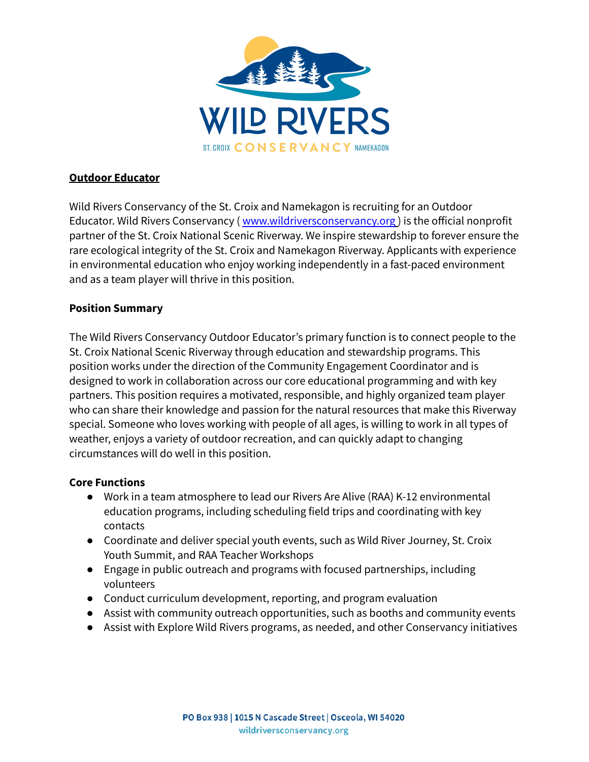

## **Outdoor Educator**

Wild Rivers Conservancy of the St. Croix and Namekagon is recruiting for an Outdoor Educator. Wild Rivers Conservancy ([www.wildriversconservancy.org](http://www.wildriversconservancy.org)) is the official nonprofit partner of the St. Croix National Scenic Riverway. We inspire stewardship to forever ensure the rare ecological integrity of the St. Croix and Namekagon Riverway. Applicants with experience in environmental education who enjoy working independently in a fast-paced environment and as a team player will thrive in this position.

## **Position Summary**

The Wild Rivers Conservancy Outdoor Educator's primary function is to connect people to the St. Croix National Scenic Riverway through education and stewardship programs. This position works under the direction of the Community Engagement Coordinator and is designed to work in collaboration across our core educational programming and with key partners. This position requires a motivated, responsible, and highly organized team player who can share their knowledge and passion for the natural resources that make this Riverway special. Someone who loves working with people of all ages, is willing to work in all types of weather, enjoys a variety of outdoor recreation, and can quickly adapt to changing circumstances will do well in this position.

## **Core Functions**

- Work in a team atmosphere to lead our Rivers Are Alive (RAA) K-12 environmental education programs, including scheduling field trips and coordinating with key contacts
- Coordinate and deliver special youth events, such as Wild River Journey, St. Croix Youth Summit, and RAA Teacher Workshops
- Engage in public outreach and programs with focused partnerships, including volunteers
- Conduct curriculum development, reporting, and program evaluation
- Assist with community outreach opportunities, such as booths and community events
- Assist with Explore Wild Rivers programs, as needed, and other Conservancy initiatives